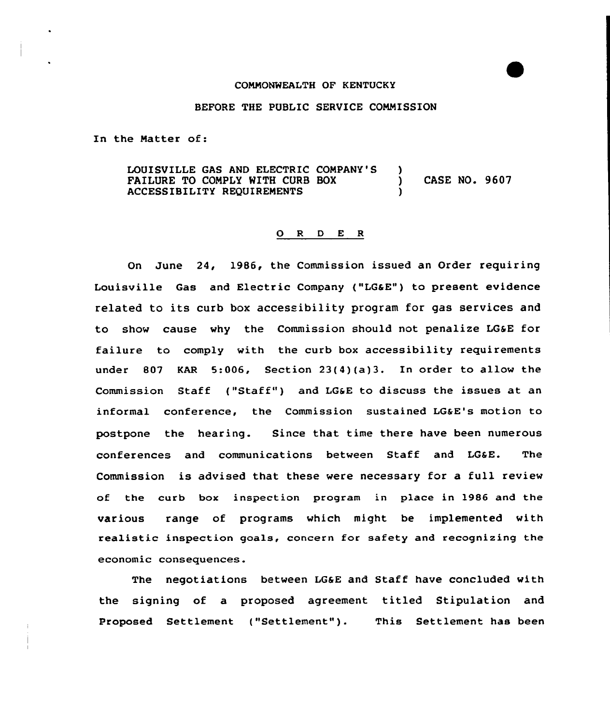#### CONNONWEALTH OF KENTUCKY

### BEFORE THE PUBLIC SERVICE CONNISSION

In the Natter of:

LOUISVILLE GAS AND ELECTRIC COMPANY'S )<br>FAILURE TO COMPLY WITH CURB BOX ) FAILURE TO COMPLY WITH CURB BOX (CASE NO. 9607) ACCESSIBILITY REQUIRENENTS )

#### 0 <sup>R</sup> <sup>D</sup> E <sup>R</sup>

On June 24, 1986, the Commission issued an Order requiring Louisville Gas and Electric Company {"LGaE") to present evidence related to its curb box accessibility program for gas services and to show cause why the Commission should not penalize LGSE for failure to comply with the curb box accessibility requirements under 807 KAR 5:006, Section 23(4)(a)3. In order to allow the Commission Staff ("Staff") and LG&E to discuss the issues at an informal conference, the Commission sustained LG&E's motion to postpane the hearing. Since that time there have been numerous conferences and communications between Staff and LG6E. The Commission is advised that these were necessary for a full review of the curb box inspection program in place in 1986 and the various range of programs which might be implemented with realistic inspection goals, concern for safety and recognizing the economic consequences.

The negotiatians between LGSE and Staff have concluded with the signing of a proposed agreement titled Stipulation and Proposed Settlement ("Settlement"). This Settlement has been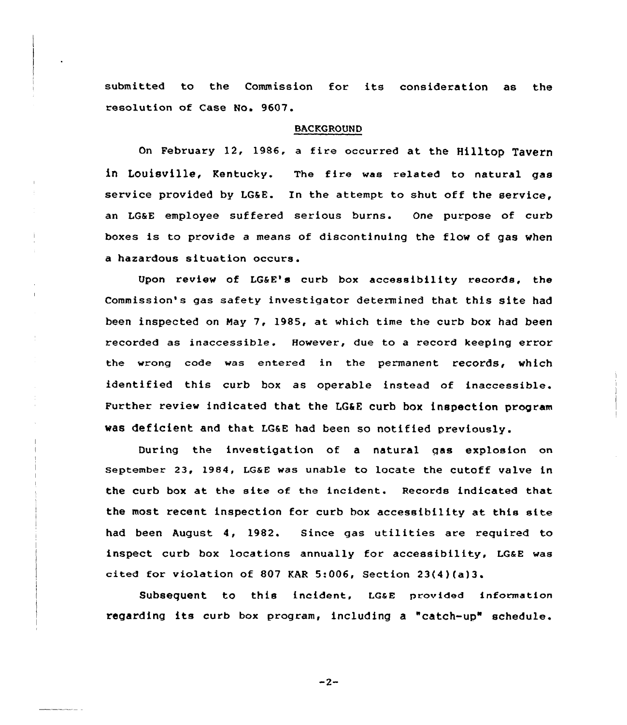submitted to the Commission for its consideration as the resolution of Case No. 9607.

## BACKGROUND

On February 12, 1986. <sup>a</sup> fire occurred at the Hilltop Tavern in Louisville, Kentucky. The fire was related to natural gas service provided by LG&E. In the attempt to shut off the service, an LGaE employee suffered serious burns. One purpose of curb boxes is to provide <sup>a</sup> means of discontinuing the flow of gas when a hazardous situation occurs.

Upon review of LG&E's curb box accessibility records, the Commission's gas safety investigator determined that this site had been inspected on Nay 7, 1985, at which time the curb box had been recorded as inaccessible. However, due to a record keeping error the wrong code was entered in the permanent records< which identified this curb box as operable instead of inaccessible. Further review indicated that the LG&E curb box inspection program was deficient and that LGSE had been so notified previously.

During the investigation of a natural gas explosion on september 23, 1984, LGaE was unable to locate the cutoff valve in the curb box at the site of the incident. Records indicated that the most recent inspection for curb box accessibility at this site had been August 4, 1982. Since gas utilities are required to inspect curb box locations annually for accessibility, LG&E was cited for violation of 807 KAR 5:006, Section  $23(4)(a)3$ .

Subsequent to this incident, LG&E provided information regarding its curb box program, including <sup>a</sup> "catch-up" schedule.

 $-2-$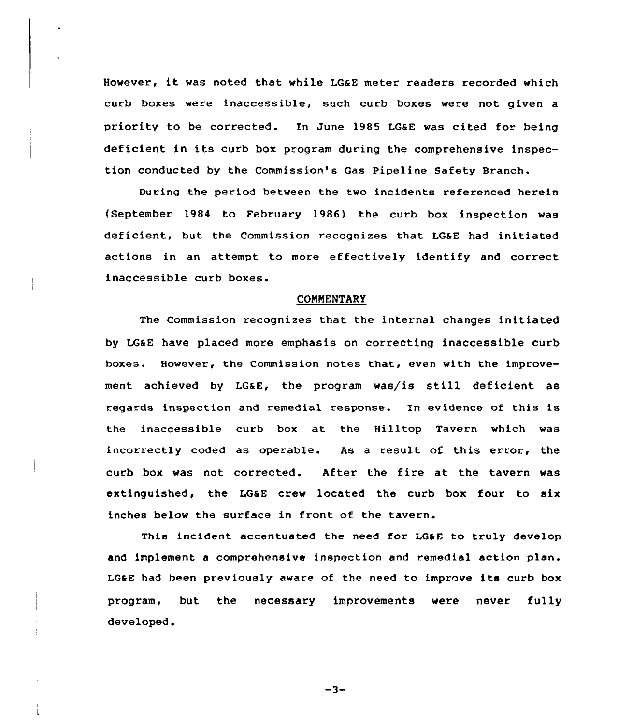However, it was noted that while LGaE meter readers recorded which curb boxes were inaccessible, such curb boxes were not given a priority to be corrected. In June 1985 LGaE was cited for being deficient in its curb box program during the comprehensive inspection conducted by the Commission's Gas Pipeline Safety Branch.

During the period between the two incidents referenced herein (September 1984 to February 1986) the curb box inspection was deficient, but the Commission recognizes that LG&E had initiated actions in an attempt to more effectively identify and correct inaccessible curb boxes.

### **COMMENTARY**

The Commission recognizes that the internal changes initiated by LGaE have placed more emphasis on correcting inaccessible curb boxes. However, the Commission notes that, even with the improvement achieved by LG&E, the program was/is still deficient as regards inspection and remedial response. In evidence of this is the inaccessible curb box at the Hilltop Tavern which was incorrectly coded as operable. As a result of this error, the curb box was not corrected. After the fire at the tavern was extinguished, the LGaE crew located the curb box four to six inches below the surface in front of the tavern.

This incident accentuated the need for LGaE to truly develop and implement a comprehensive inspection and remedial action plan. LGsE had been previously aware of the need to improve its curb box program, but the necessary improvements were never fully developed.

 $-3-$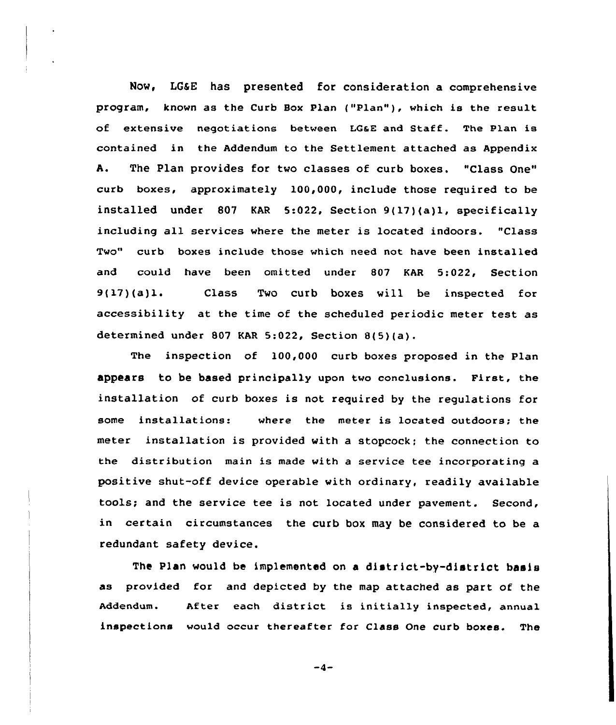Now, LGSE has presented for consideration a comprehensive program, known as the Curb Box Plan ("Plan" ), which is the result of extensive negotiations between LGaE and Staff. The Plan is contained in the Addendum to the Settlement attached as Appendix A. The Plan provides for two classes of curb boxes. "Class One" curb boxes, approximately 100,000, include those required to be installed under 807 KAR 5:022, Section 9(17)(a)l, specifically including all services where the meter is located indoors. "Class Two" curb boxes include those which need not have been installed and could have been omitted under 807 KAR 5:022, Section 9(17)(a)le Class Two curb boxes vill be inspected for accessibility at the time of the scheduled periodic meter test as determined under 807 KAR 5:022, Section 8(5)(a).

The inspection of 100,000 curb boxes proposed in the Plan appears to be based principally upon two conclusions. First, the installation of curb boxes is not required by the regulations for some installations: where the meter is located outdoors; the meter installation is provided with a stopcock; the connection to the distribution main is made with a service tee incorporating a positive shut-off device operable with ordinary, readily available tools; and the service tee is not located under pavement. Second, in certain circumstances the curb box may be considered to be a redundant safety device.

The Plan would be implemented on a district-by-district basis as provided for and depicted by the map attached as part of the Addendum. After each district is initially inspected, annual inspections wou1d occur thereafter for Class One curb boxes. The

 $-4-$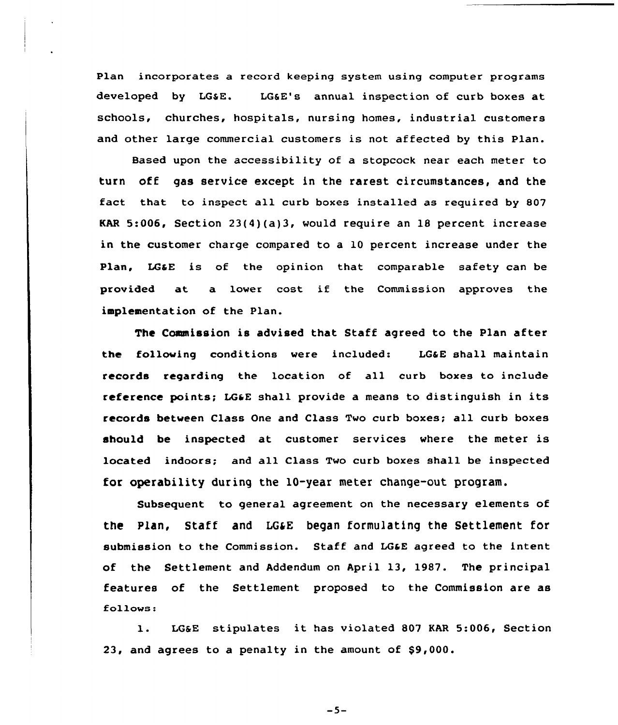Plan incorporates a record keeping system using computer programs developed by LGSE. LG6E's annual inspection of curb boxes at schools, churches, hospitals, nursing homes, industrial customers and other large commercial customers is not affected by this Plan.

Based upon the accessibility of a stopcock near each meter to turn off gas service except in the rarest circumstances, and the fact that to inspect all curb boxes installed as required by 807 KAR 5:006, Section 23(4)(a)3, would require an 18 percent increase in the customer charge compared to a 10 percent increase under the Plan, LG&E is of the opinion that comparable safety can be provided at a lower cost if the Commission approves the implementation of the Plan.

The Commission is advised that Staff agreed to the Plan after the following conditions were included: LG4E shall maintain records regarding the location of all curb boxes to include reference points; LGaE shall provide <sup>a</sup> means to distinguish in its records betveen Class One and Class Two curb boxes; all curb boxes should be inspected at customer services where the meter is located indoors; and all Class Two curb boxes shall be inspected for operability during the 10-year meter change-out program.

Subsequent to general agreement on the necessary elements of the Plan, Staff and LG&E began formulating the Settlement for submission to the Commission. Staff and LG&E agreed to the intent of the Settlement and Addendum on April 13, 1987. The principal features of the Settlement proposed to the Commission are as follows:

l. LGsE stipulates it. has violated <sup>807</sup> KAR 5:006, Section 23, and agrees to a penalty in the amount of \$9,000.

 $-5-$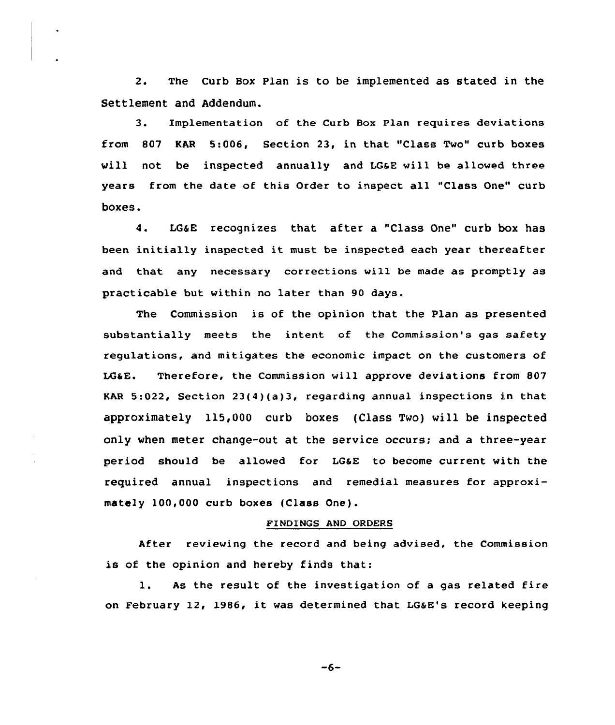2. The Curb Box Plan is to be implemented as stated in the Settlement and Addendum.

3. Implementation of the Curb Box Plan requires deviations from 807 KAR 5:006, Section 23, in that "Class Two" curb boxes will not be inspected annually and LG&E will be allowed three years from the date of this Order to inspect all "Class One" curb boxes.

4. LGaE recognizes that after a "Class One" curb box has been initially inspected it must be inspected each year thereafter and that any necessary corrections will be made as promptly as practicable but within no later than 90 days.

The Commission is of the opinion that the Plan as presented substantially meets the intent of the Commission's gas safety regulations, and mitigates the economic impact on the customers of LGaE. Therefoxe, the Commission will approve deviations from 807 KAR 5:022, Section 23(4)(a)3, regarding annual inspections in that approximately 115,000 curb boxes (Class Two) will be inspected only when meter change-out at the service occurs; and a three-year period should be allowed for LG&E to become current with the required annual inspections and remedial measures for approximately 100,000 curb boxes (Class One).

# FINDINGS AND ORDERS

After reviewing the record and being advised, the Commission is of the opinion and hereby finds that:

l. As the result of the investigation of <sup>a</sup> gas related fire on February 12, 1986, it was determined that LG6E's record keeping

 $-6-$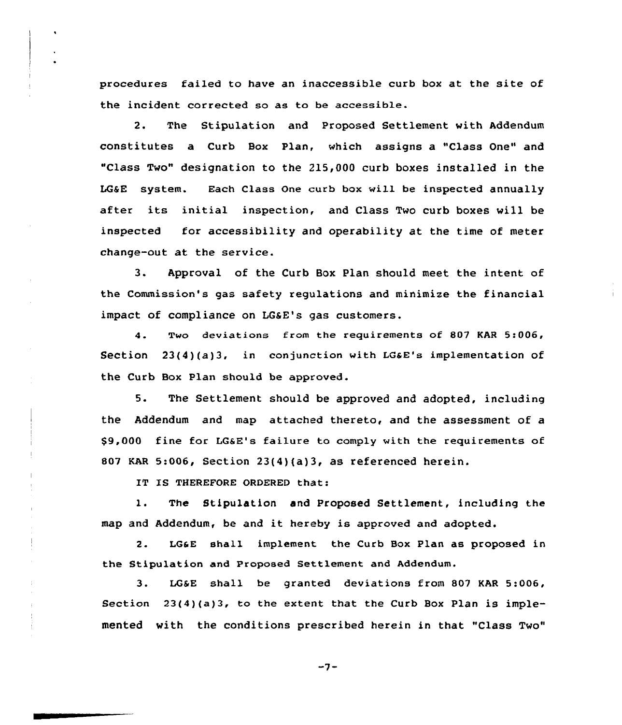procedures failed to have an inaccessible curb box at the site of the incident corrected so as to be accessib1e.

2. The Stipulation and Prapased Settlement with Addendum constitutes a Curb Box Plan, which assigns a "Class One" and "Class Two" designation to the 215,000 curb boxes installed in the LGEE system. Each Class One curb box vill be inspected annually after its initial inspection, and Class Two curb boxes will be inspected for accessibility and operability at the time of meter change-out at the service.

3. Approval of the Curb Box Plan should meet the intent of the Commission's gas safety regulations and minimize the financial impact of compliance on LGaE's gas customers.

4. Two deviations from the requirements of 807 KAR 5:006, Section  $23(4)(a)3$ , in conjunction with LG&E's implementation of the Curb Box Plan should be approved.

5. The Settlement should be approved and adopted, including the Addendum and map attached thereto, and the assessment of a \$9,000 fine for LGaE's failure ta comply with the requirements of 807 KAR 5:006, section 23(4)(a)3, as referenced herein.

IT IS THEREFORE ORDERED that:

1. The Stipulation and Proposed Settlement, including the map and Addendum, be and it hereby is appraved and adopted.

2. IGaE sha11 implement the Curb Box Plan as proposed in the Stipulation and Proposed Settlement and Addendum.

3. LG&E shall be granted deviations from 807 KAR 5:006, Section  $23(4)(a)3$ , to the extent that the Curb Box Plan is implemented with the conditions prescribed herein in that "Class Two"

 $-7-$